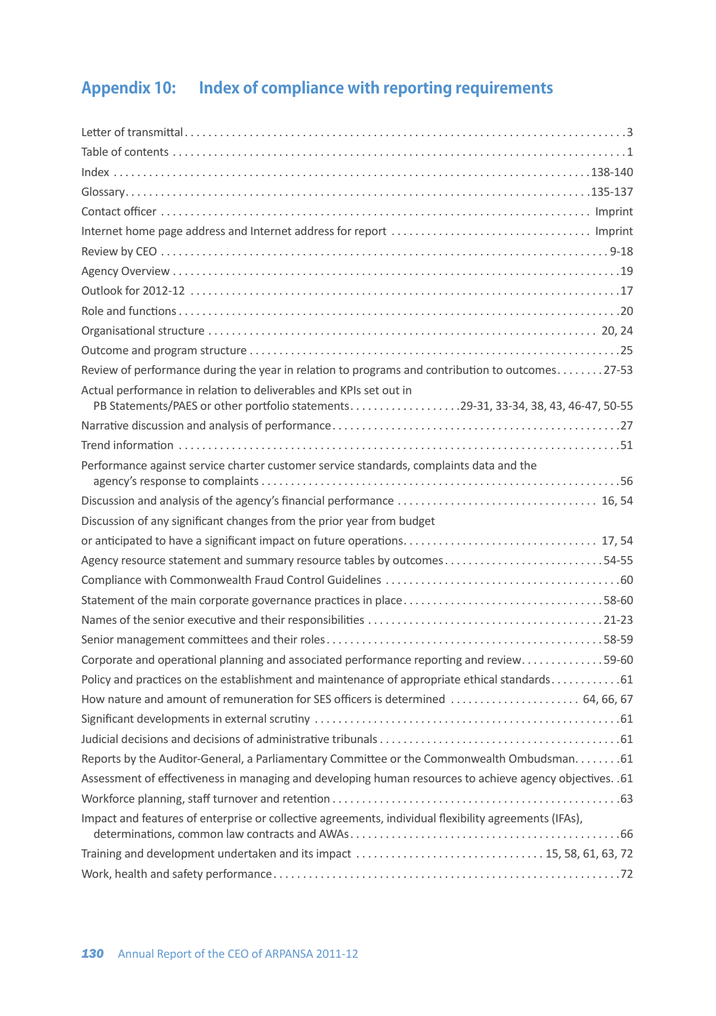## **Appendix 10: Index of compliance with reporting requirements**

| Review of performance during the year in relation to programs and contribution to outcomes27-53           |
|-----------------------------------------------------------------------------------------------------------|
| Actual performance in relation to deliverables and KPIs set out in                                        |
| PB Statements/PAES or other portfolio statements29-31, 33-34, 38, 43, 46-47, 50-55                        |
|                                                                                                           |
|                                                                                                           |
| Performance against service charter customer service standards, complaints data and the                   |
|                                                                                                           |
| Discussion of any significant changes from the prior year from budget                                     |
|                                                                                                           |
| Agency resource statement and summary resource tables by outcomes54-55                                    |
|                                                                                                           |
| Statement of the main corporate governance practices in place58-60                                        |
|                                                                                                           |
|                                                                                                           |
| Corporate and operational planning and associated performance reporting and review59-60                   |
| Policy and practices on the establishment and maintenance of appropriate ethical standards 61             |
| How nature and amount of remuneration for SES officers is determined  64, 66, 67                          |
|                                                                                                           |
|                                                                                                           |
| Reports by the Auditor-General, a Parliamentary Committee or the Commonwealth Ombudsman. 61               |
| Assessment of effectiveness in managing and developing human resources to achieve agency objectives. . 61 |
|                                                                                                           |
| Impact and features of enterprise or collective agreements, individual flexibility agreements (IFAs),     |
|                                                                                                           |
|                                                                                                           |